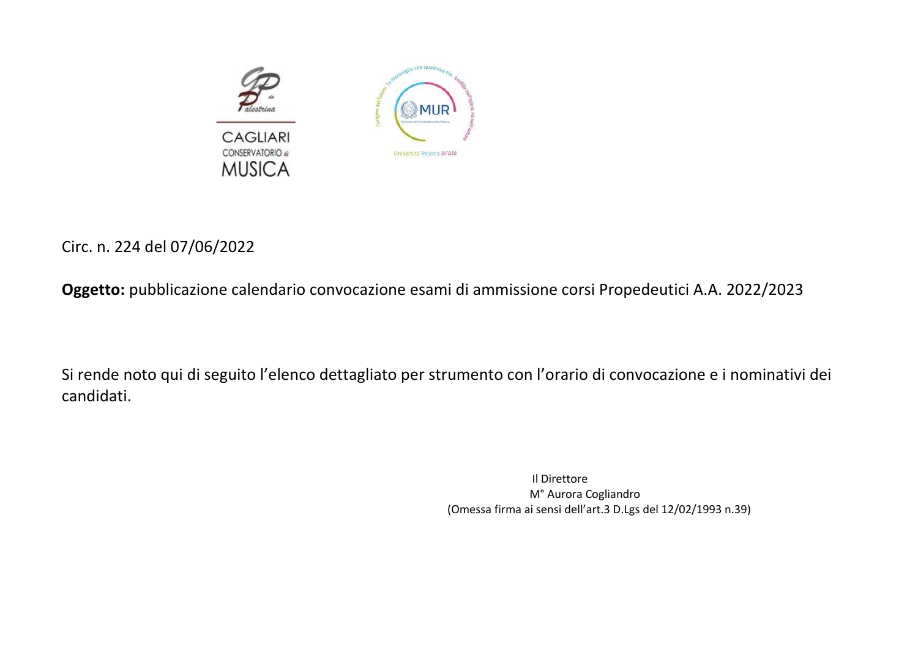

## Circ. n. 224 del 07/06/2022

**Oggetto:** pubblicazione calendario convocazione esami di ammissione corsi Propedeutici A.A. 2022/2023

Si rende noto qui di seguito l'elenco dettagliato per strumento con l'orario di convocazione e i nominativi dei candidati.

 Il Direttore M° Aurora Cogliandro (Omessa firma ai sensi dell'art.3 D.Lgs del 12/02/1993 n.39)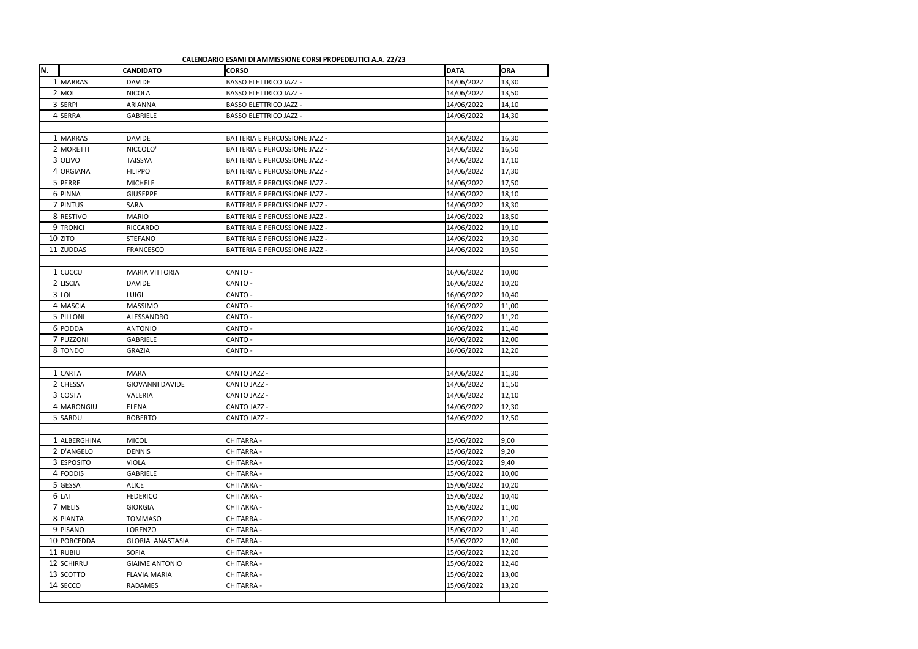**CALENDARIO ESAMI DI AMMISSIONE CORSI PROPEDEUTICI A.A. 22/23**

| N.      |                | <b>CANDIDATO</b>        | <b>CORSO</b>                         | <b>DATA</b> | <b>ORA</b> |
|---------|----------------|-------------------------|--------------------------------------|-------------|------------|
|         | 1 MARRAS       | <b>DAVIDE</b>           | <b>BASSO ELETTRICO JAZZ -</b>        | 14/06/2022  | 13,30      |
|         | $2$ MOI        | <b>NICOLA</b>           | <b>BASSO ELETTRICO JAZZ -</b>        | 14/06/2022  | 13,50      |
|         | 3 SERPI        | ARIANNA                 | <b>BASSO ELETTRICO JAZZ -</b>        | 14/06/2022  | 14,10      |
|         | 4 SERRA        | <b>GABRIELE</b>         | <b>BASSO ELETTRICO JAZZ -</b>        | 14/06/2022  | 14,30      |
|         |                |                         |                                      |             |            |
|         | 1 MARRAS       | <b>DAVIDE</b>           | <b>BATTERIA E PERCUSSIONE JAZZ -</b> | 14/06/2022  | 16,30      |
|         | 2 MORETTI      | NICCOLO'                | <b>BATTERIA E PERCUSSIONE JAZZ -</b> | 14/06/2022  | 16,50      |
|         | 3 OLIVO        | <b>TAISSYA</b>          | <b>BATTERIA E PERCUSSIONE JAZZ -</b> | 14/06/2022  | 17,10      |
| $\vert$ | <b>ORGIANA</b> | <b>FILIPPO</b>          | <b>BATTERIA E PERCUSSIONE JAZZ -</b> | 14/06/2022  | 17,30      |
|         | 5 PERRE        | <b>MICHELE</b>          | <b>BATTERIA E PERCUSSIONE JAZZ -</b> | 14/06/2022  | 17,50      |
|         | 6 PINNA        | <b>GIUSEPPE</b>         | <b>BATTERIA E PERCUSSIONE JAZZ -</b> | 14/06/2022  | 18,10      |
|         | 7 PINTUS       | SARA                    | <b>BATTERIA E PERCUSSIONE JAZZ -</b> | 14/06/2022  | 18,30      |
|         | 8 RESTIVO      | <b>MARIO</b>            | <b>BATTERIA E PERCUSSIONE JAZZ -</b> | 14/06/2022  | 18,50      |
|         | 9TRONCI        | <b>RICCARDO</b>         | BATTERIA E PERCUSSIONE JAZZ -        | 14/06/2022  | 19,10      |
|         | $10$ ZITO      | <b>STEFANO</b>          | <b>BATTERIA E PERCUSSIONE JAZZ -</b> | 14/06/2022  | 19,30      |
|         | 11 ZUDDAS      | <b>FRANCESCO</b>        | <b>BATTERIA E PERCUSSIONE JAZZ -</b> | 14/06/2022  | 19,50      |
|         |                |                         |                                      |             |            |
|         | $1$ CUCCU      | <b>MARIA VITTORIA</b>   | CANTO -                              | 16/06/2022  | 10,00      |
|         | 2 LISCIA       | <b>DAVIDE</b>           | CANTO -                              | 16/06/2022  | 10,20      |
|         | $3$ LOI        | <b>LUIGI</b>            | CANTO -                              | 16/06/2022  | 10,40      |
| 4       | MASCIA         | <b>MASSIMO</b>          | CANTO -                              | 16/06/2022  | 11,00      |
|         | 5 PILLONI      | ALESSANDRO              | CANTO -                              | 16/06/2022  | 11,20      |
|         | 6 PODDA        | <b>ANTONIO</b>          | CANTO -                              | 16/06/2022  | 11,40      |
|         | 7 PUZZONI      | <b>GABRIELE</b>         | CANTO -                              | 16/06/2022  | 12,00      |
|         | 8 TONDO        | <b>GRAZIA</b>           | CANTO -                              | 16/06/2022  | 12,20      |
|         |                |                         |                                      |             |            |
|         | 1 CARTA        | <b>MARA</b>             | <b>CANTO JAZZ -</b>                  | 14/06/2022  | 11,30      |
| 2       | <b>CHESSA</b>  | <b>GIOVANNI DAVIDE</b>  | <b>CANTO JAZZ -</b>                  | 14/06/2022  | 11,50      |
|         | 3 COSTA        | VALERIA                 | <b>CANTO JAZZ -</b>                  | 14/06/2022  | 12,10      |
|         | 4 MARONGIU     | <b>ELENA</b>            | <b>CANTO JAZZ -</b>                  | 14/06/2022  | 12,30      |
|         | 5 SARDU        | <b>ROBERTO</b>          | <b>CANTO JAZZ -</b>                  | 14/06/2022  | 12,50      |
|         |                |                         |                                      |             |            |
|         | 1 ALBERGHINA   | <b>MICOL</b>            | <b>CHITARRA -</b>                    | 15/06/2022  | 9,00       |
|         | 2D'ANGELO      | <b>DENNIS</b>           | <b>CHITARRA-</b>                     | 15/06/2022  | 9,20       |
|         | 3 ESPOSITO     | <b>VIOLA</b>            | <b>CHITARRA -</b>                    | 15/06/2022  | 9,40       |
|         | 4 FODDIS       | <b>GABRIELE</b>         | <b>CHITARRA-</b>                     | 15/06/2022  | 10,00      |
|         | 5 GESSA        | <b>ALICE</b>            | <b>CHITARRA -</b>                    | 15/06/2022  | 10,20      |
|         | 6 LA           | <b>FEDERICO</b>         | <b>CHITARRA -</b>                    | 15/06/2022  | 10,40      |
|         | 7 MELIS        | <b>GIORGIA</b>          | <b>CHITARRA -</b>                    | 15/06/2022  | 11,00      |
|         | 8 PIANTA       | <b>TOMMASO</b>          | <b>CHITARRA -</b>                    | 15/06/2022  | 11,20      |
|         | 9 PISANO       | LORENZO                 | <b>CHITARRA -</b>                    | 15/06/2022  | 11,40      |
|         | 10 PORCEDDA    | <b>GLORIA ANASTASIA</b> | <b>CHITARRA -</b>                    | 15/06/2022  | 12,00      |
|         | 11 RUBIU       | <b>SOFIA</b>            | <b>CHITARRA -</b>                    | 15/06/2022  | 12,20      |
|         | 12 SCHIRRU     | <b>GIAIME ANTONIO</b>   | <b>CHITARRA -</b>                    | 15/06/2022  | 12,40      |
|         | 13 SCOTTO      | <b>FLAVIA MARIA</b>     | <b>CHITARRA -</b>                    | 15/06/2022  | 13,00      |
|         | 14 SECCO       | <b>RADAMES</b>          | <b>CHITARRA -</b>                    | 15/06/2022  | 13,20      |
|         |                |                         |                                      |             |            |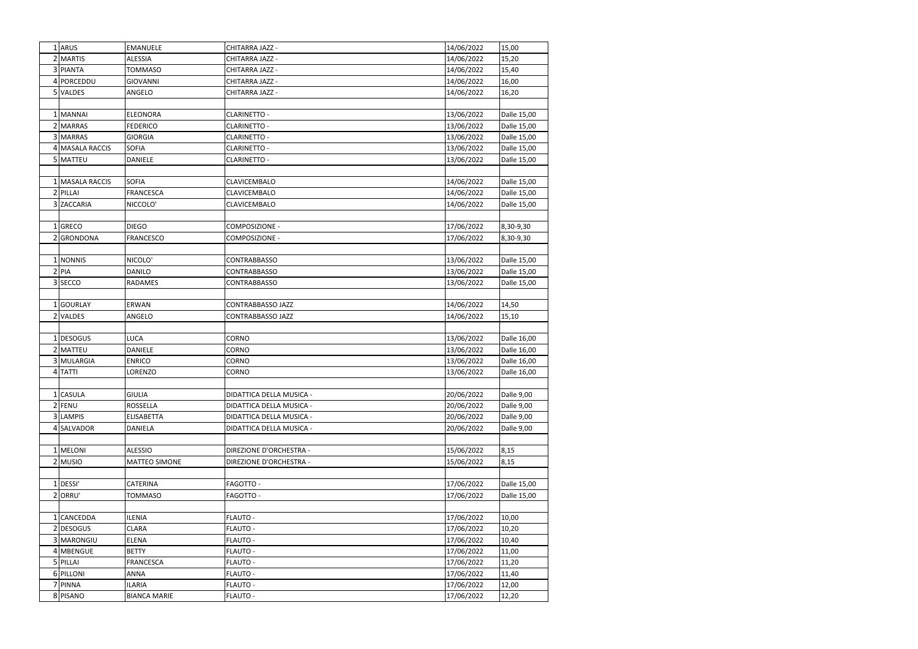| 1 ARUS          | <b>EMANUELE</b>      | CHITARRA JAZZ -          | 14/06/2022 | 15,00       |
|-----------------|----------------------|--------------------------|------------|-------------|
| 2 MARTIS        | <b>ALESSIA</b>       | CHITARRA JAZZ -          | 14/06/2022 | 15,20       |
| 3 PIANTA        | TOMMASO              | CHITARRA JAZZ -          | 14/06/2022 | 15,40       |
| 4 PORCEDDU      | <b>GIOVANNI</b>      | CHITARRA JAZZ -          | 14/06/2022 | 16,00       |
| 5 VALDES        | ANGELO               | CHITARRA JAZZ -          | 14/06/2022 | 16,20       |
|                 |                      |                          |            |             |
| 1 MANNAI        | <b>ELEONORA</b>      | <b>CLARINETTO -</b>      | 13/06/2022 | Dalle 15,00 |
| 2 MARRAS        | <b>FEDERICO</b>      | <b>CLARINETTO -</b>      | 13/06/2022 | Dalle 15,00 |
| 3 MARRAS        | <b>GIORGIA</b>       | <b>CLARINETTO -</b>      | 13/06/2022 | Dalle 15,00 |
| 4 MASALA RACCIS | <b>SOFIA</b>         | <b>CLARINETTO -</b>      | 13/06/2022 | Dalle 15,00 |
| 5 MATTEU        | <b>DANIELE</b>       | <b>CLARINETTO -</b>      | 13/06/2022 | Dalle 15,00 |
|                 |                      |                          |            |             |
| 1 MASALA RACCIS | <b>SOFIA</b>         | <b>CLAVICEMBALO</b>      | 14/06/2022 | Dalle 15,00 |
| 2 PILLAI        | <b>FRANCESCA</b>     | <b>CLAVICEMBALO</b>      | 14/06/2022 | Dalle 15,00 |
| 3 ZACCARIA      | NICCOLO'             | CLAVICEMBALO             | 14/06/2022 | Dalle 15,00 |
|                 |                      |                          |            |             |
| 1 GRECO         | <b>DIEGO</b>         | COMPOSIZIONE -           | 17/06/2022 | 8,30-9,30   |
| 2 GRONDONA      | <b>FRANCESCO</b>     | COMPOSIZIONE -           | 17/06/2022 | 8,30-9,30   |
|                 |                      |                          |            |             |
| 1 NONNIS        | NICOLO'              | <b>CONTRABBASSO</b>      | 13/06/2022 | Dalle 15,00 |
| $2$  PIA        | <b>DANILO</b>        | <b>CONTRABBASSO</b>      | 13/06/2022 | Dalle 15,00 |
| 3 SECCO         | RADAMES              | <b>CONTRABBASSO</b>      | 13/06/2022 | Dalle 15,00 |
|                 |                      |                          |            |             |
| 1 GOURLAY       | ERWAN                | <b>CONTRABBASSO JAZZ</b> | 14/06/2022 | 14,50       |
| 2 VALDES        | ANGELO               | <b>CONTRABBASSO JAZZ</b> | 14/06/2022 | 15,10       |
|                 |                      |                          |            |             |
| 1 DESOGUS       | LUCA                 | CORNO                    | 13/06/2022 | Dalle 16,00 |
| 2 MATTEU        | <b>DANIELE</b>       | CORNO                    | 13/06/2022 | Dalle 16,00 |
| 3 MULARGIA      | <b>ENRICO</b>        | CORNO                    | 13/06/2022 | Dalle 16,00 |
| 4TATTI          | LORENZO              | CORNO                    | 13/06/2022 | Dalle 16,00 |
|                 |                      |                          |            |             |
| 1 CASULA        | <b>GIULIA</b>        | DIDATTICA DELLA MUSICA - | 20/06/2022 | Dalle 9,00  |
| $2$ FENU        | ROSSELLA             | DIDATTICA DELLA MUSICA - | 20/06/2022 | Dalle 9,00  |
| 3 LAMPIS        | <b>ELISABETTA</b>    | DIDATTICA DELLA MUSICA - | 20/06/2022 | Dalle 9,00  |
| 4 SALVADOR      | DANIELA              | DIDATTICA DELLA MUSICA - | 20/06/2022 | Dalle 9,00  |
|                 |                      |                          |            |             |
| 1 MELONI        | <b>ALESSIO</b>       | DIREZIONE D'ORCHESTRA -  | 15/06/2022 | 8,15        |
| $2$ MUSIO       | <b>MATTEO SIMONE</b> | DIREZIONE D'ORCHESTRA -  | 15/06/2022 | 8,15        |
|                 |                      |                          |            |             |
| 1 DESSI'        | CATERINA             | FAGOTTO -                | 17/06/2022 | Dalle 15,00 |
| 2 ORRU'         | TOMMASO              | FAGOTTO -                | 17/06/2022 | Dalle 15,00 |
|                 |                      |                          |            |             |
| 1 CANCEDDA      | <b>ILENIA</b>        | FLAUTO -                 | 17/06/2022 | 10,00       |
| 2 DESOGUS       | <b>CLARA</b>         | <b>FLAUTO -</b>          | 17/06/2022 | 10,20       |
| 3 MARONGIU      | <b>ELENA</b>         | FLAUTO -                 | 17/06/2022 | 10,40       |
| 4 MBENGUE       | <b>BETTY</b>         | <b>FLAUTO -</b>          | 17/06/2022 | 11,00       |
| 5 PILLAI        | <b>FRANCESCA</b>     | FLAUTO -                 | 17/06/2022 | 11,20       |
| 6 PILLONI       | ANNA                 | <b>FLAUTO -</b>          | 17/06/2022 | 11,40       |
| 7 PINNA         | <b>ILARIA</b>        | FLAUTO -                 | 17/06/2022 | 12,00       |
| 8 PISANO        | <b>BIANCA MARIE</b>  | <b>FLAUTO -</b>          | 17/06/2022 | 12,20       |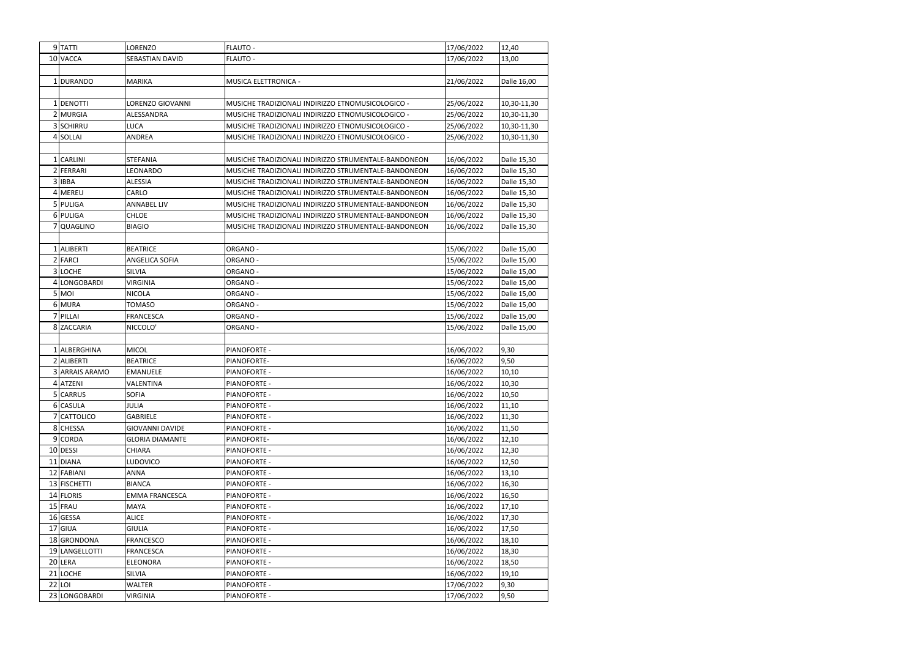|   | 9 <sup>TATTI</sup> | LORENZO                | <b>FLAUTO -</b>                                      | 17/06/2022 | 12,40       |
|---|--------------------|------------------------|------------------------------------------------------|------------|-------------|
|   | 10 VACCA           | SEBASTIAN DAVID        | FLAUTO -                                             | 17/06/2022 | 13,00       |
|   |                    |                        |                                                      |            |             |
|   | 1 DURANDO          |                        |                                                      |            |             |
|   |                    | <b>MARIKA</b>          | MUSICA ELETTRONICA -                                 | 21/06/2022 | Dalle 16,00 |
|   |                    |                        |                                                      |            |             |
|   | 1 DENOTTI          | LORENZO GIOVANNI       | MUSICHE TRADIZIONALI INDIRIZZO ETNOMUSICOLOGICO -    | 25/06/2022 | 10,30-11,30 |
|   | 2 MURGIA           | ALESSANDRA             | MUSICHE TRADIZIONALI INDIRIZZO ETNOMUSICOLOGICO -    | 25/06/2022 | 10,30-11,30 |
|   | 3 SCHIRRU          | LUCA                   | MUSICHE TRADIZIONALI INDIRIZZO ETNOMUSICOLOGICO -    | 25/06/2022 | 10,30-11,30 |
|   | 4 SOLLAI           | ANDREA                 | MUSICHE TRADIZIONALI INDIRIZZO ETNOMUSICOLOGICO -    | 25/06/2022 | 10,30-11,30 |
|   |                    |                        |                                                      |            |             |
|   | 1 CARLINI          | <b>STEFANIA</b>        | MUSICHE TRADIZIONALI INDIRIZZO STRUMENTALE-BANDONEON | 16/06/2022 | Dalle 15,30 |
|   | 2 FERRARI          | LEONARDO               | MUSICHE TRADIZIONALI INDIRIZZO STRUMENTALE-BANDONEON | 16/06/2022 | Dalle 15,30 |
|   | 3 IBBA             | ALESSIA                | MUSICHE TRADIZIONALI INDIRIZZO STRUMENTALE-BANDONEON | 16/06/2022 | Dalle 15,30 |
|   | 4 MEREU            | CARLO                  | MUSICHE TRADIZIONALI INDIRIZZO STRUMENTALE-BANDONEON | 16/06/2022 | Dalle 15,30 |
|   | 5 PULIGA           | <b>ANNABEL LIV</b>     | MUSICHE TRADIZIONALI INDIRIZZO STRUMENTALE-BANDONEON | 16/06/2022 | Dalle 15,30 |
|   | 6 PULIGA           | <b>CHLOE</b>           | MUSICHE TRADIZIONALI INDIRIZZO STRUMENTALE-BANDONEON | 16/06/2022 | Dalle 15,30 |
|   | 7 QUAGLINO         | <b>BIAGIO</b>          | MUSICHE TRADIZIONALI INDIRIZZO STRUMENTALE-BANDONEON | 16/06/2022 | Dalle 15,30 |
|   |                    |                        |                                                      |            |             |
|   | 1 ALIBERTI         | <b>BEATRICE</b>        | ORGANO -                                             | 15/06/2022 | Dalle 15,00 |
|   | 2 FARCI            | ANGELICA SOFIA         | ORGANO -                                             | 15/06/2022 | Dalle 15,00 |
|   | 3 LOCHE            | <b>SILVIA</b>          | ORGANO -                                             | 15/06/2022 | Dalle 15,00 |
|   | 4 LONGOBARDI       | <b>VIRGINIA</b>        | ORGANO -                                             | 15/06/2022 | Dalle 15,00 |
|   | $5$ MOI            | <b>NICOLA</b>          | ORGANO -                                             | 15/06/2022 | Dalle 15,00 |
|   | 6 MURA             | <b>TOMASO</b>          | ORGANO -                                             | 15/06/2022 | Dalle 15,00 |
| 7 | PILLAI             | <b>FRANCESCA</b>       | ORGANO -                                             | 15/06/2022 | Dalle 15,00 |
|   | 8 ZACCARIA         | NICCOLO'               | ORGANO -                                             | 15/06/2022 | Dalle 15,00 |
|   |                    |                        |                                                      |            |             |
|   | 1 ALBERGHINA       | <b>MICOL</b>           | PIANOFORTE -                                         | 16/06/2022 | 9,30        |
|   | 2 ALIBERTI         | <b>BEATRICE</b>        | PIANOFORTE-                                          | 16/06/2022 | 9,50        |
|   | 3 ARRAIS ARAMO     | <b>EMANUELE</b>        | PIANOFORTE -                                         | 16/06/2022 | 10,10       |
|   | 4 ATZENI           | VALENTINA              | PIANOFORTE -                                         | 16/06/2022 | 10,30       |
|   | 5 CARRUS           | <b>SOFIA</b>           | PIANOFORTE -                                         | 16/06/2022 | 10,50       |
|   | 6 CASULA           | <b>JULIA</b>           | PIANOFORTE -                                         | 16/06/2022 | 11,10       |
|   | 7 CATTOLICO        | <b>GABRIELE</b>        | PIANOFORTE -                                         | 16/06/2022 | 11,30       |
|   | 8 CHESSA           | <b>GIOVANNI DAVIDE</b> | PIANOFORTE -                                         | 16/06/2022 | 11,50       |
|   | 9 CORDA            | <b>GLORIA DIAMANTE</b> | PIANOFORTE-                                          | 16/06/2022 | 12,10       |
|   | 10 DESSI           | CHIARA                 | PIANOFORTE -                                         | 16/06/2022 | 12,30       |
|   | 11 DIANA           | LUDOVICO               | PIANOFORTE -                                         | 16/06/2022 | 12,50       |
|   | 12 FABIANI         | ANNA                   | PIANOFORTE -                                         | 16/06/2022 | 13,10       |
|   | 13 FISCHETTI       | <b>BIANCA</b>          | PIANOFORTE -                                         | 16/06/2022 | 16,30       |
|   | 14 FLORIS          | <b>EMMA FRANCESCA</b>  | PIANOFORTE -                                         |            | 16,50       |
|   | 15 FRAU            |                        |                                                      | 16/06/2022 |             |
|   |                    | <b>MAYA</b>            | PIANOFORTE -                                         | 16/06/2022 | 17,10       |
|   | 16 GESSA           | <b>ALICE</b>           | <b>PIANOFORTE -</b>                                  | 16/06/2022 | 17,30       |
|   | 17 GIUA            | <b>GIULIA</b>          | PIANOFORTE -                                         | 16/06/2022 | 17,50       |
|   | 18 GRONDONA        | <b>FRANCESCO</b>       | PIANOFORTE -                                         | 16/06/2022 | 18,10       |
|   | 19 LANGELLOTTI     | <b>FRANCESCA</b>       | PIANOFORTE -                                         | 16/06/2022 | 18,30       |
|   | 20 LERA            | <b>ELEONORA</b>        | PIANOFORTE -                                         | 16/06/2022 | 18,50       |
|   | 21 LOCHE           | SILVIA                 | PIANOFORTE -                                         | 16/06/2022 | 19,10       |
|   | $22$ LOI           | <b>WALTER</b>          | PIANOFORTE -                                         | 17/06/2022 | 9,30        |
|   | 23 LONGOBARDI      | <b>VIRGINIA</b>        | PIANOFORTE -                                         | 17/06/2022 | 9,50        |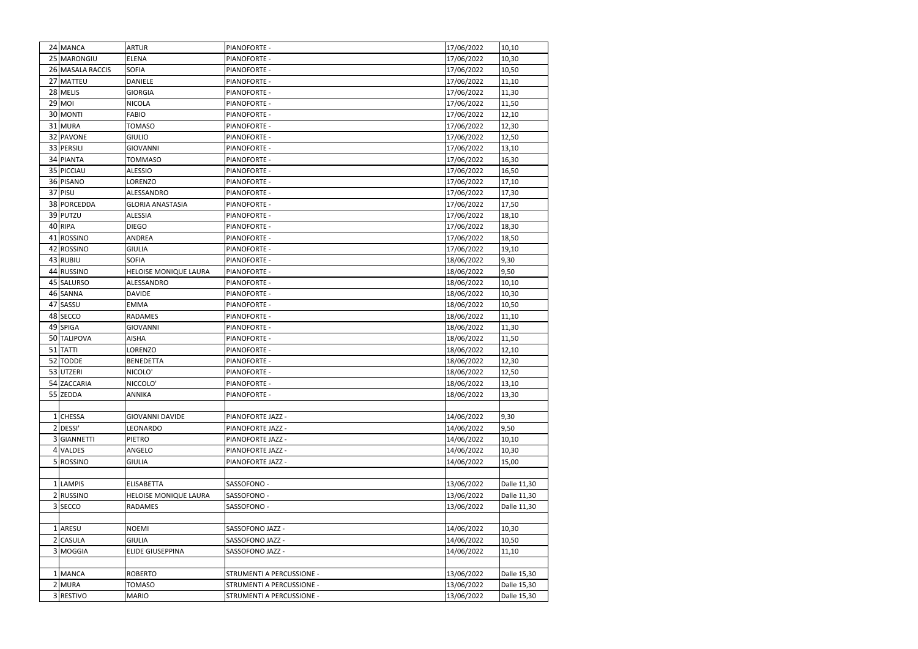| 24 MANCA         | <b>ARTUR</b>                 | PIANOFORTE -              | 17/06/2022 | 10,10       |
|------------------|------------------------------|---------------------------|------------|-------------|
| 25 MARONGIU      | <b>ELENA</b>                 | PIANOFORTE -              | 17/06/2022 | 10,30       |
| 26 MASALA RACCIS | <b>SOFIA</b>                 | <b>PIANOFORTE -</b>       | 17/06/2022 | 10,50       |
| 27 MATTEU        | <b>DANIELE</b>               | PIANOFORTE -              | 17/06/2022 | 11,10       |
| 28 MELIS         | <b>GIORGIA</b>               | PIANOFORTE -              | 17/06/2022 | 11,30       |
| $29$ MOI         | <b>NICOLA</b>                | PIANOFORTE -              | 17/06/2022 | 11,50       |
| 30 MONTI         | <b>FABIO</b>                 | <b>PIANOFORTE -</b>       | 17/06/2022 | 12,10       |
| 31 MURA          | <b>TOMASO</b>                | PIANOFORTE -              | 17/06/2022 | 12,30       |
| 32 PAVONE        | <b>GIULIO</b>                | PIANOFORTE -              | 17/06/2022 | 12,50       |
| 33 PERSILI       | <b>GIOVANNI</b>              | PIANOFORTE -              | 17/06/2022 | 13,10       |
| 34 PIANTA        | <b>TOMMASO</b>               | PIANOFORTE -              | 17/06/2022 | 16,30       |
| 35 PICCIAU       | <b>ALESSIO</b>               | PIANOFORTE -              | 17/06/2022 | 16,50       |
| 36 PISANO        | LORENZO                      | PIANOFORTE -              | 17/06/2022 | 17,10       |
| 37 PISU          | ALESSANDRO                   | PIANOFORTE -              | 17/06/2022 | 17,30       |
| 38 PORCEDDA      | <b>GLORIA ANASTASIA</b>      | <b>PIANOFORTE -</b>       | 17/06/2022 | 17,50       |
| 39 PUTZU         | <b>ALESSIA</b>               | PIANOFORTE -              | 17/06/2022 | 18,10       |
| 40 RIPA          | <b>DIEGO</b>                 | PIANOFORTE -              | 17/06/2022 | 18,30       |
| 41 ROSSINO       | <b>ANDREA</b>                | PIANOFORTE -              | 17/06/2022 | 18,50       |
| 42 ROSSINO       | <b>GIULIA</b>                | PIANOFORTE -              | 17/06/2022 | 19,10       |
| 43 RUBIU         | <b>SOFIA</b>                 | PIANOFORTE -              | 18/06/2022 | 9,30        |
| 44 RUSSINO       | <b>HELOISE MONIQUE LAURA</b> | <b>PIANOFORTE -</b>       | 18/06/2022 | 9,50        |
| 45 SALURSO       | ALESSANDRO                   | <b>PIANOFORTE -</b>       | 18/06/2022 | 10,10       |
| 46 SANNA         | <b>DAVIDE</b>                | PIANOFORTE -              | 18/06/2022 | 10,30       |
| 47 SASSU         | <b>EMMA</b>                  | PIANOFORTE -              | 18/06/2022 | 10,50       |
| 48 SECCO         | <b>RADAMES</b>               | PIANOFORTE -              | 18/06/2022 | 11,10       |
| 49 SPIGA         | <b>GIOVANNI</b>              | PIANOFORTE -              | 18/06/2022 | 11,30       |
| 50 TALIPOVA      | <b>AISHA</b>                 | PIANOFORTE -              | 18/06/2022 | 11,50       |
| 51 TATTI         | <b>LORENZO</b>               | PIANOFORTE -              | 18/06/2022 | 12,10       |
| 52 TODDE         | <b>BENEDETTA</b>             | PIANOFORTE -              | 18/06/2022 | 12,30       |
| 53 UTZERI        | NICOLO'                      | PIANOFORTE -              | 18/06/2022 | 12,50       |
| 54 ZACCARIA      | NICCOLO'                     | PIANOFORTE -              | 18/06/2022 | 13,10       |
| 55 ZEDDA         | <b>ANNIKA</b>                | PIANOFORTE -              | 18/06/2022 | 13,30       |
|                  |                              |                           |            |             |
| 1 CHESSA         | <b>GIOVANNI DAVIDE</b>       | PIANOFORTE JAZZ -         | 14/06/2022 | 9,30        |
| 2 DESSI'         | LEONARDO                     | PIANOFORTE JAZZ -         | 14/06/2022 | 9,50        |
| 3 GIANNETTI      | PIETRO                       | PIANOFORTE JAZZ -         | 14/06/2022 | 10,10       |
| 4 VALDES         | ANGELO                       | PIANOFORTE JAZZ -         | 14/06/2022 | 10,30       |
| 5 ROSSINO        | <b>GIULIA</b>                | PIANOFORTE JAZZ -         | 14/06/2022 | 15,00       |
|                  |                              |                           |            |             |
| 1 LAMPIS         | <b>ELISABETTA</b>            | SASSOFONO -               | 13/06/2022 | Dalle 11,30 |
| 2 RUSSINO        | HELOISE MONIQUE LAURA        | SASSOFONO -               | 13/06/2022 | Dalle 11,30 |
| 3 SECCO          | <b>RADAMES</b>               | SASSOFONO -               | 13/06/2022 | Dalle 11,30 |
|                  |                              |                           |            |             |
| 1 ARESU          | <b>NOEMI</b>                 | SASSOFONO JAZZ -          | 14/06/2022 | 10,30       |
| 2 CASULA         | <b>GIULIA</b>                | SASSOFONO JAZZ -          | 14/06/2022 | 10,50       |
| 3 MOGGIA         | <b>ELIDE GIUSEPPINA</b>      | SASSOFONO JAZZ -          | 14/06/2022 | 11,10       |
|                  |                              |                           |            |             |
| 1 MANCA          | <b>ROBERTO</b>               | STRUMENTI A PERCUSSIONE - | 13/06/2022 | Dalle 15,30 |
| 2 MURA           | TOMASO                       | STRUMENTI A PERCUSSIONE - | 13/06/2022 | Dalle 15,30 |
| 3 RESTIVO        | <b>MARIO</b>                 | STRUMENTI A PERCUSSIONE - | 13/06/2022 | Dalle 15,30 |